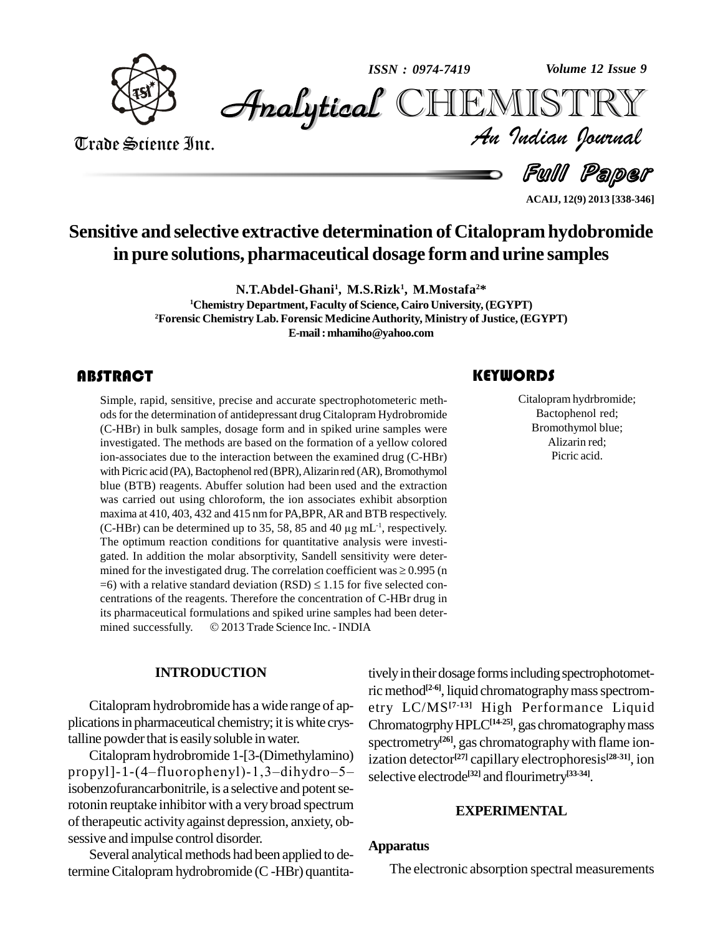

*Volume 12 Issue 9*



Trade Science Inc. Trade Science Inc.

*Volume 12 Issue 9*<br>IISTRY<br>Indian Iournal

d *Full Paper* 

**ACAIJ, 12(9) 2013 [338-346]**

# **Sensitive and selective extractive determination of Citalopram hydobromide in pure solutions, pharmaceutical dosage formand urine samples**

**N.T.Abdel-Ghani<sup>1</sup> , M.S.Rizk 1 , M.Mostafa <sup>2</sup>\* <sup>1</sup>Chemistry Department,Faculty of Science, Cairo University,(EGYPT) <sup>2</sup>Forensic Chemistry Lab. Forensic MedicineAuthority, Ministry of Justice, (EGYPT) E-mail:[mhamiho@yahoo.com](mailto:mhamiho@yahoo.com)**

### **ABSTRACT**

Simple, rapid, sensitive,<br>ods for the determination<br>(C-HBr) in bulk sample: Simple, rapid, sensitive, precise and accurate spectrophotometeric meth ods for the determination of antidepressant drug Citalopram Hydrobromide (C-HBr) in bulk samples, dosage form and in spiked urine samples were investigated. The methods are based on the formation of a yellow colored ion-associates due to the interaction between the examined drug (C-HBr) with Picric acid (PA), Bactophenol red (BPR), Alizarin red (AR), Bromothymol blue (BTB) reagents. Abuffer solution had been used and the extraction was carried out using chloroform, the ion associates exhibit absorption maxima at 410, 403, 432 and 415 nmfor PA,BPR,ARand BTB respectively. was carried out using chloroform, the ion associates exhibit absorption maxima at 410, 403, 432 and 415 nm for PA,BPR, AR and BTB respectively. (C-HBr) can be determined up to 35, 58, 85 and 40  $\mu$ g mL<sup>-1</sup>, respectively. The optimum reaction conditions for quantitative analysis were investi gated. In addition the molar absorptivity, Sandell sensitivity were deter- The optimum reaction conditions for quantitative analysis were investigated. In addition the molar absorptivity, Sandell sensitivity were determined for the investigated drug. The correlation coefficient was  $\geq 0.995$  ( gated. In addition the molar absorptivity, Sandell sensitivity were deter-<br>mined for the investigated drug. The correlation coefficient was  $\geq$  0.995 (n<br>=6) with a relative standard deviation (RSD)  $\leq$  1.15 for five s centrations of the reagents. Therefore the concentration of C-HBr drug in<br>its pharmaceutical formulations and spiked urine samples had been deter-<br>mined successfully. © 2013 Trade Science Inc. - INDIA its pharmaceutical formulations and spiked urine samples had been deter-

### **INTRODUCTION**

Citalopram hydrobromide has a wide range of ap plicationsin pharmaceutical chemistry; it iswhite crystalline powder that is easily soluble in water.

Citalopramhydrobromide 1-[3-(Dimethylamino) propyl]-1- $(4$ -fluorophenyl)-1,3-dihydro-5isobenzofurancarbonitrile, is a selective and potent serotonin reuptake inhibitor with a verybroad spectrum of therapeutic activity against depression, anxiety, obsessive and impulse control disorder.

Several analytical methods had been applied to determineCitalopram hydrobromide (C-HBr) quantita-

## tively in their dosage forms including spectrophotometric method<sup>[2-6]</sup>, liquid chromatography mass spectrometry LC/MS **[7-13]** High Performance Liquid ChromatogrphyHPLC**[14-25]**, gas chromatographymass spectrometry **[26]**, gas chromatographywith flame ionization detector **[27]** capillary electrophoresis **[28-31]**, ion selective electrode **[32]** and flourimetry **[33-34]**.

### **EXPERIMENTAL**

### **Apparatus**

The electronic absorption spectral measurements

Citalopram hydrbre<br>Bactophenol re<br>Bromothymol b Citalopram hydrbromide; Bactophenol red; Bromothymol blue; Alizarin red; Picric acid.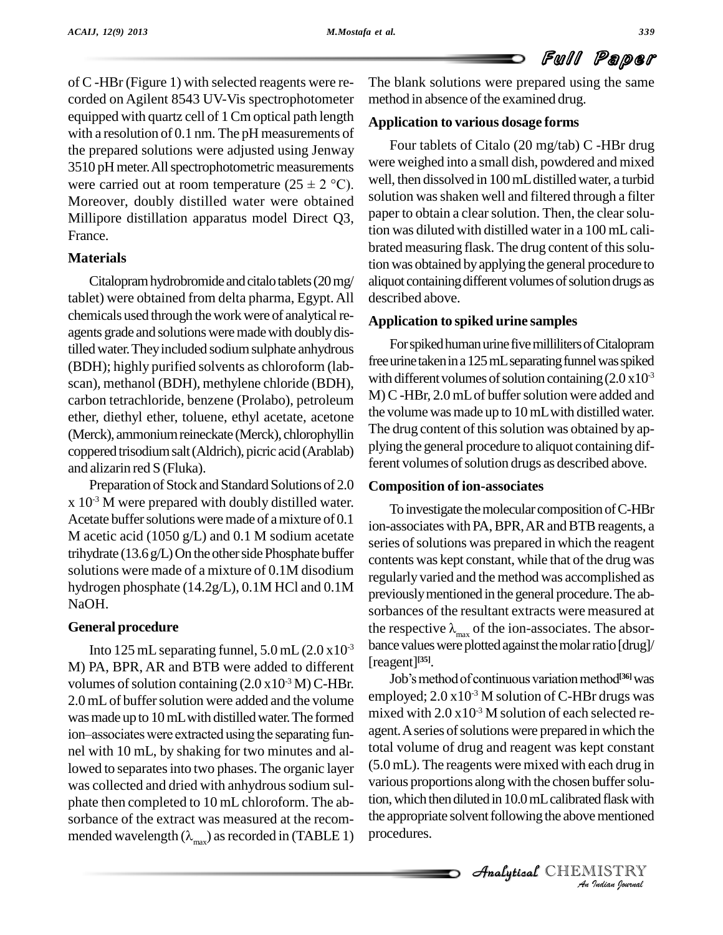of C -HBr (Figure 1) with selected reagents were re corded on Agilent 8543 UV-Vis spectrophotometer equipped with quartz cell of 1 Cmoptical path length with a resolution of 0.1 nm. The pH measurements of the prepared solutions were adjusted using Jenway  $3510$  pH meter. All spectrophotometric measurements  $\frac{\text{were}}{\text{%}}$ the prepared solutions were adjusted using Jenway<br>3510 pH meter. All spectrophotometric measurements were carried out at room temperature ( $25 \pm 2$  °C). Moreover, doubly distilled water were obtained Millipore distillation apparatus model Direct Q3, France.

### **Materials**

Citalopram hydrobromide and citalotablets (20 mg/ tablet) were obtained from delta pharma, Egypt.All chemicals used through the work were of analytical reagents grade and solutions were made with doubly distilled water. They included sodium sulphate anhydrous (BDH); highly purified solvents as chloroform (lab scan), methanol (BDH), methylene chloride (BDH), carbon tetrachloride, benzene (Prolabo), petroleum ether, diethyl ether, toluene, ethyl acetate, acetone (Merck), ammonium reineckate (Merck), chlorophyllin coppered trisodiumsalt(Aldrich), picric acid (Arablab) and alizarin red S (Fluka).

Preparation of Stock and Standard Solutions of 2.0 x 10 -3 M were prepared with doubly distilled water. Acetate buffer solutions were made of a mixture of 0.1 M acetic acid (1050 g/L) and 0.1 M sodium acetate trihydrate  $(13.6 \text{ g/L})$  On the other side Phosphate buffer solutions were made of a mixture of 0.1M disodium hydrogen phosphate (14.2g/L), 0.1M HCl and 0.1M NaOH.

### **General procedure**

Into 125 mL separating funnel,  $5.0$  mL  $(2.0 \times 10^{-3})$ M) PA, BPR, AR and BTB were added to different volumes of solution containing  $(2.0 \times 10^{-3} \,\mathrm{M})$  C-HBr. 2.0 mL of buffer solution were added and the volume emplower was made up to 10 mL with distilled water. The formed mixed ion—associates were extracted using the separating funwas made up to 10 mL with distilled water. The formed nel with 10 mL, by shaking for two minutes and allowed to separates into two phases. The organic layer was collected and dried with anhydrous sodium sulphate then completed to 10 mL chloroform. The ab sorbance of the extract was measured at the recom mended wavelength  $(\lambda_{\text{max}})$  as recorded in (TABLE 1)

The blank solutions were prepared using the same method in absence of the examined drug.

### **Application to various dosage forms**

Four tablets of Citalo (20 mg/tab) C -HBr drug were weighed into a small dish, powdered and mixed well, then dissolved in 100 mL distilled water, a turbid solution was shaken well and filtered through a filter paper to obtain a clear solution. Then, the clear solution was diluted with distilled water in a 100 mLcali brated measuring flask. The drug content of this solution was obtained byapplying the general procedure to aliquot containing different volumes of solution drugs as described above.

### **Application to spiked urine samples**

For spiked human urine five milliliters of Citalopram free urine taken in a 125 mL separating funnel was spiked with different volumes of solution containing  $(2.0 \times 10^3$ M) C -HBr, 2.0 mL of buffer solution were added and the volume wasmade up to 10mLwith distilled water. The drug content of this solution was obtained by applying the general procedure to aliquot containing different volumes of solution drugs as described above.

### **Composition of ion-associates**

<sup>-3</sup> bance values were plotted against the molar ratio [drug]/<br>  $\int_{r}$  [reagent]<sup>[35]</sup>.<br>  $\int_{r}$  Job's method of continuous variation method<sup>[36]</sup> was To investigate themolecular composition ofC-HBr ion-associates with PA, BPR, AR and BTB reagents, a series of solutions was prepared in which the reagent contents was kept constant, while that of the drug was regularly varied and the method was accomplished as previouslymentioned in the general procedure.The ab sorbances of the resultant extracts were measured at the respective  $\lambda_{\text{max}}$  of the ion-associates. The absor-[reagent] **[35]**.

various proportions along with the chosen buffer solu-*Durfer Solu-<br>Indian with<br>IISTRY<br>Indian Iournal* various proportions along with the enosen barrier solution, which then diluted in 10.0 mL calibrated flask with Job's method of continuous variation method<sup>[36]</sup> was employed;  $2.0 \times 10^{-3}$  M solution of C-HBr drugs was mixed with  $2.0 \times 10^{-3}$  M solution of each selected reagent. A series of solutions were prepared in which the total volume of drug and reagent was kept constant (5.0 mL). The reagents were mixed with each drug in the appropriate solvent following the above mentioned procedures.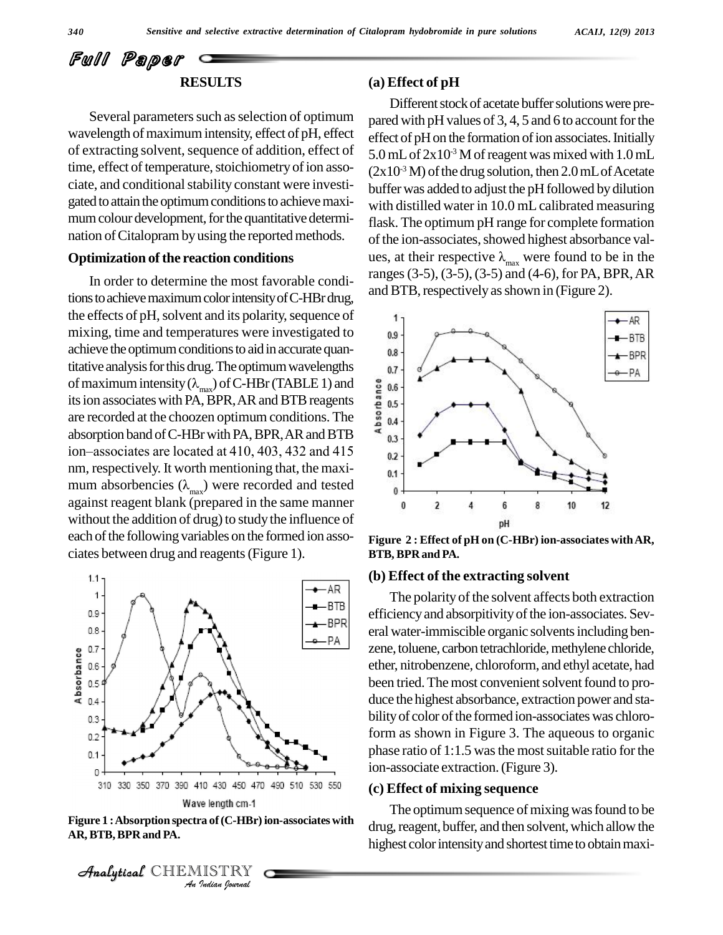## Full Paper **RESULTS**

Several parameters such as selection of optimum wavelength of maximum intensity, effect of pH, effect of extracting solvent, sequence of addition, effect of time, effect of temperature, stoichiometry of ion associate, and conditional stability constant were investigated to attain the optimum conditions to achieve maximum colour development, for the quantitative determination of Citalopram by using the reported methods.

### **Optimization of the reaction conditions**

In order to determine the most favorable conditions to achieve maximum color intensity of C-HBr drug, the effects of pH, solvent and its polarity, sequence of mixing, time and temperatures were investigated to achieve the optimum conditions to aid in accurate quantitative analysis for this drug. The optimum wavelengths  $_{0.7}$ achieve the optimum conditions to aid in accurate quantitative analysis for this drug. The optimum wavelengths<br>of maximum intensity ( $\lambda_{\text{max}}$ ) of C-HBr (TABLE 1) and<br>its ion associates with PA, BPR, AR and BTB reagents<br> its ion associates with PA, BPR, AR and BTB reagents  $\frac{1}{6}$  0.5 are recorded at the choozen optimum conditions. The  $\frac{8}{9}$  0.4 absorption band of C-HBr with PA, BPR, AR and BTB  $\sigma_{0.3}$ are recorded at the choozen optimum conditions. The<br>absorption band of C-HBr with PA, BPR, AR and BTB<br>ion–associates are located at 410, 403, 432 and 415 nm, respectively. It worth mentioning that, the maxi ion-associates are located at 410, 403, 432 and 415<br>nm, respectively. It worth mentioning that, the maximum absorbencies  $(\lambda_{\text{max}})$  were recorded and tested against reagent blank (prepared in the same manner without the addition of drug) to study the influence of each of the following variables on the formed ion associates between drug and reagents(Figure 1).



**Figure 1 :Absorption spectra of(C-HBr) ion-associates with AR, BTB,BPR and PA.**



### **(a) Effect of pH**

Different stock of acetate buffer solutions were prepared with pH values of  $3, 4, 5$  and 6 to account for the effect of pH on the formation of ion associates. Initially 5.0 mL of 2x10<sup>-3</sup> M of reagent was mixed with 1.0 mL  $(2x10<sup>3</sup> M)$  of the drug solution, then 2.0 mL of Acetate buffer was added to adjust the pH followed by dilution with distilled water in 10.0 mL calibrated measuring flask. The optimum pH range for complete formation of the ion-associates, showed highest absorbance values, at their respective  $\lambda_{\text{max}}$  were found to be in the ranges(3-5), (3-5),(3-5) and (4-6), for PA, BPR,AR and BTB, respectively as shown in (Figure 2).



**Figure 2 : Effect of pH on (C-HBr) ion-associates withAR, BTB, BPR and PA.**

### **(b) Effect of the extracting solvent**

The polarity of the solvent affects both extraction efficiencyand absorpitivityofthe ion-associates. Sev eral water-immiscible organic solventsincluding ben zene, toluene, carbon tetrachloride, methylene chloride, ether, nitrobenzene, chloroform, and ethyl acetate, had been tried. The most convenient solvent found to produce the highest absorbance, extraction power and sta bility of color of the formed ion-associates was chloroform as shown in Figure 3. The aqueous to organic phase ratio of 1:1.5 was the most suitable ratio for the ion-associate extraction.(Figure 3).

### **(c) Effect of mixing sequence**

The optimum sequence of mixing was found to be drug, reagent, buffer, and then solvent, which allow the highest color intensity and shortest time to obtain maxi-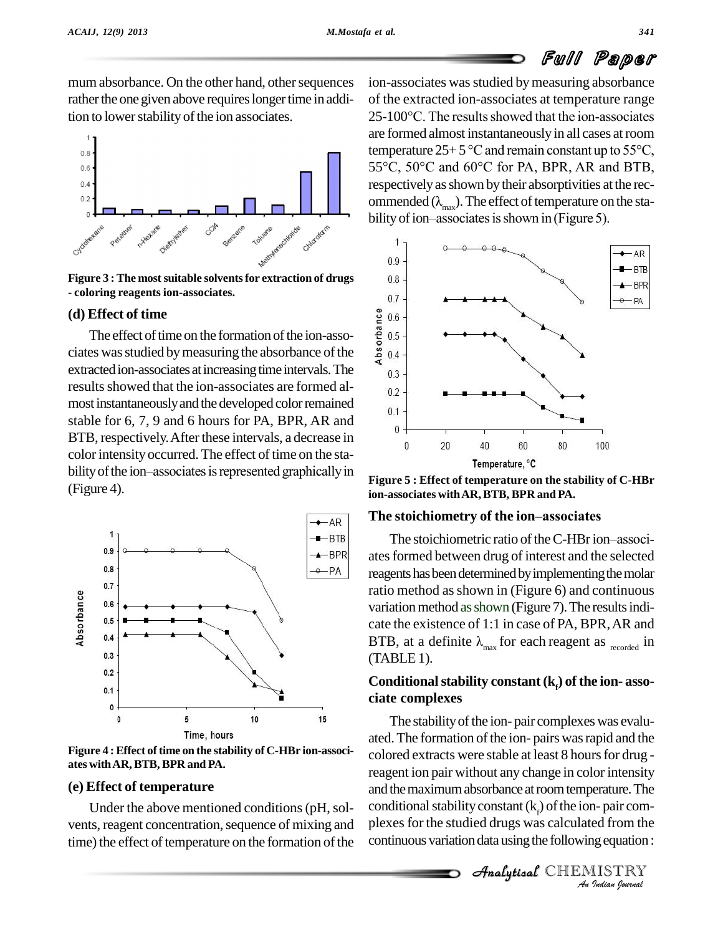mum absorbance. On the other hand, other sequences rather the one given above requires longer time in addition to lower stability of the ion associates.



**Figure 3 :The mostsuitable solventsfor extraction of drugs - coloring reagents ion-associates.**

### **(d) Effect of time**

**Effect of time**<br>The effect of time on the formation of the ion-asso-<br>es was studied by measuring the absorbance of the ciates was studied by measuring the absorbance of the  $\frac{8}{9}$  0.4 extracted ion-associates at increasing time intervals. The  $\frac{1}{0.3}$ results showed that the ion-associates are formed al-<br>most instantaneously and the developed color remained  $_{0.1}$ stable for  $6, 7, 9$  and  $6$  hours for PA, BPR, AR and BTB, respectively. After these intervals, a decrease in color intensity occurred. The effect of time on the stability of the ion–associates is represented graphically in (Figure 4).



**Figure 4 : Effect of time on the stability of C-HBr ion-associ ates withAR,BTB, BPR and PA.**

### **(e) Effect of temperature**

vents, reagent concentration, sequence of mixing and time) the effect of temperature on the formation of the

ion-associates was studied by measuring absorbance of the extracted ion-associates at temperature range ion-associates was studied by measuring absorbance<br>of the extracted ion-associates at temperature range<br>25-100°C. The results showed that the ion-associates are formed almost instantaneously in all cases atroom 25-100°C. The results showed that the ion-associates<br>are formed almost instantaneously in all cases at room<br>temperature  $25+5$  °C and remain constant up to 55°C, temperature  $25+5$  °C and remain constant up to  $55$ °C,  $55$ °C,  $50$ °C and  $60$ °C for PA, BPR, AR and BTB, respectively as shown by their absorptivities at the recommended  $(\lambda_{max})$ . The effect of temperature on the sta-<br>bility of ion–associates is shown in (Figure 5).



**Figure 5 : Effect of temperature on the stability of C-HBr The stoichiometry of the ionñassociates ion-associates withAR,BTB, BPR and PA.**

The stoichiometry of the ion–associates<br>The stoichiometric ratio of the C-HBr ion–associates formed between drug of interest and the selected reagents has been determined by implementing the molar ratio method as shown in (Figure 6) and continuous variation method as shown (Figure 7). The results indicate the existence of 1:1 in case of PA, BPR,AR and variation method as shown (Figure 7). The results indicate the existence of 1:1 in case of PA, BPR, AR and BTB, at a definite  $\lambda_{\text{max}}$  for each reagent as  $_{\text{recorded}}$  in (TABLE1).

# **Conditional stability constant**  $(k_f)$  of the **ion-** associate **complexes**

and the maximum absorbance at room temperature. The *Indian*<br>*Indian*<br>*IISTRY*<br>*IISTRY*<br>*IISTRY* Under the above mentioned conditions (pH, sol-conditional stability constant  $(k<sub>p</sub>)$  of the ion-pair com-The stability of the ion- pair complexes was evaluated. The formation of the ion- pairs was rapid and the colored extracts were stable at least 8 hours for drug reagent ion pair without any change in color intensity plexes for the studied drugs was calculated from the continuous variation data using the following equation :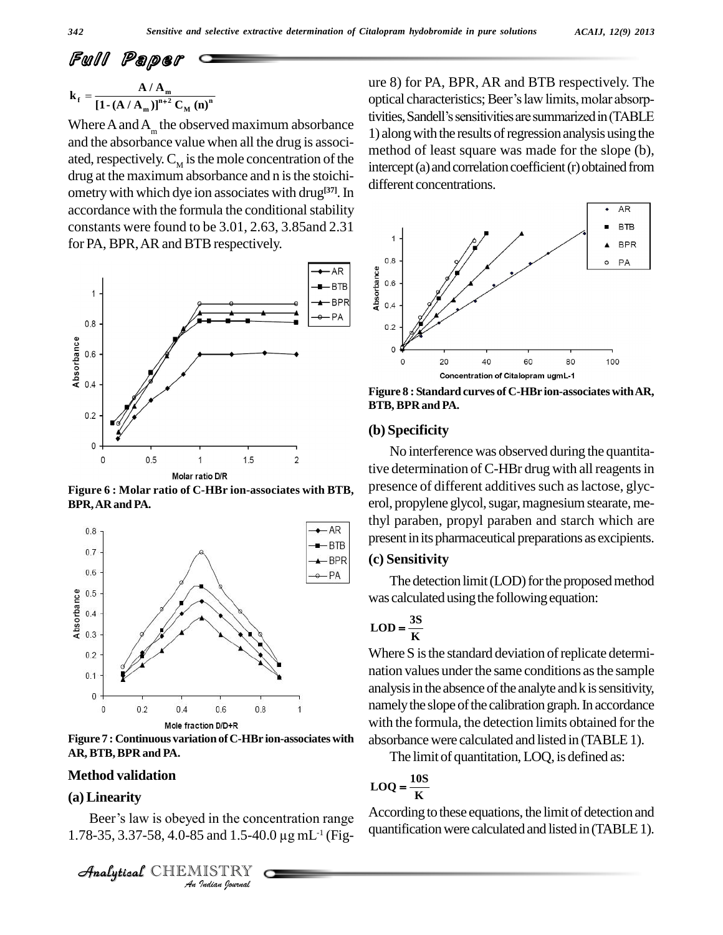$$
k_{\rm f} = \frac{A/A_{\rm m}}{[1-(A/A_{\rm m})]^{n+2}C_{\rm M}(n)^n}
$$

Where A and A<sub>m</sub> the observed maximum absorbance  $\frac{dV_{\text{HCC}}}{1.2}$ and the absorbance value when all the drug is associated, respectively.  $C_M$  is the mole concentration of the intercedrug at the maximum absorbance and n is the stoichiometry with which dye ion associates with drug<sup>[37]</sup>. In accordance with the formula the conditional stability constants were found to be 3.01, 2.63, 3.85and 2.31 for PA, BPR, AR and BTB respectively.



**Figure 6 : Molar ratio of C-HBr ion-associates with BTB, BPR,ARand PA.**



**Figure 7 : Continuous variation ofC-HBr ion-associates with AR, BTB,BPR and PA.**

### **Method validation**

# Analytical**(a) Linearity**

*I* din the conce<br>*I* and 1.5-40.<br>*I Indian Journal* Beer's law is obeyed in the concentration range (a) Linearity<br>Beer's law is obeyed in the concentration range  $A_0$ <br>1.78-35, 3.37-58, 4.0-85 and 1.5-40.0 µg mL<sup>-1</sup> (Fig-

ure 8) for PA, BPR, AR and BTB respectively. The optical characteristics; Beer's law limits, molar absorptivities, Sandell's sensitivities are summarized in (TABLE 1) along with the results of regression analysis using the method of least square was made for the slope (b), intercept (a) and correlation coefficient (r) obtained from different concentrations.



**Figure 8 : Standard curves of C-HBr ion-associates withAR, BTB, BPR and PA.**

### **(b) Specificity**

No interference was observed during the quantitative determination of C-HBr drug with all reagents in presence of different additives such as lactose, glycerol, propylene glycol, sugar, magnesium stearate, methyl paraben, propyl paraben and starch which are present in its pharmaceutical preparations as excipients.

### **(c) Sensitivity**

The detection limit (LOD) for the proposed method was calculated using the following equation:<br> $\text{LOD} = \frac{3S}{\sigma}$ 

# $\text{LOD} = \frac{3S}{K}$

Where S is the standard deviation of replicate determination values under the same conditions as the sample analysis in the absence of the analyte and k is sensitivity, namely the slope of the calibration graph. In accordance with the formula, the detection limits obtained for the absorbance were calculated and listed in (TABLE 1).

The limit of quantitation, LOQ, is defined as:<br> $\text{LOQ} = \frac{10S}{T}$ 

$$
LOQ = \frac{10S}{K}
$$

According to these equations, the limit of detection and quantification were calculated and listed in (TABLE 1).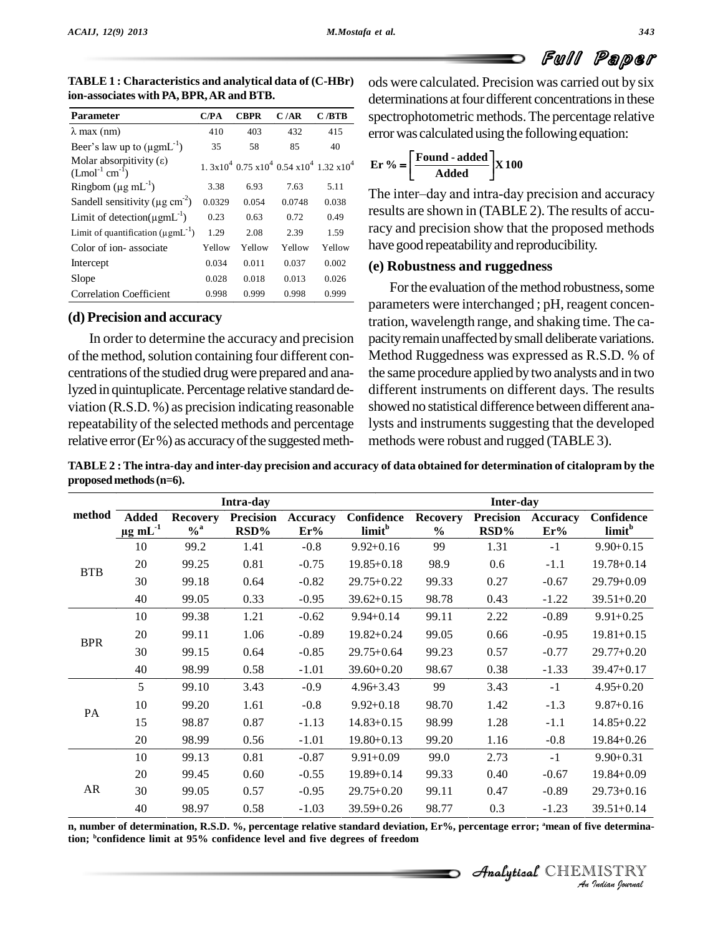

| <b>Parameter</b>                                          | C/PA   | <b>CBPR</b> | C/AR   | C/BTB                                             |
|-----------------------------------------------------------|--------|-------------|--------|---------------------------------------------------|
| $\lambda$ max (nm)                                        | 410    | 403         | 432    | 415                                               |
| Beer's law up to $(\mu g m L^{-1})$                       | 35     | 58          | 85     | 40                                                |
| Molar absorpitivity $(\epsilon)$<br>$(Lmol^{-1} cm^{-1})$ |        |             |        | $1.3x10^4$ 0.75 $x10^4$ 0.54 $x10^4$ 1.32 $x10^4$ |
| Ringbom $(\mu g \, mL^{-1})$                              | 3.38   | 6.93        | 7.63   | 5.11                                              |
| Sandell sensitivity ( $\mu$ g cm <sup>-2</sup> )          | 0.0329 | 0.054       | 0.0748 | 0.038                                             |
| Limit of detection( $\mu$ gmL <sup>-1</sup> )             | 0.23   | 0.63        | 0.72   | 0.49                                              |
| Limit of quantification $(\mu g m L^{-1})$                | 1.29   | 2.08        | 2.39   | 1.59                                              |
| Color of ion-associate                                    | Yellow | Yellow      | Yellow | Yellow                                            |
| Intercept                                                 | 0.034  | 0.011       | 0.037  | 0.002                                             |
| Slope                                                     | 0.028  | 0.018       | 0.013  | 0.026                                             |
| <b>Correlation Coefficient</b>                            | 0.998  | 0.999       | 0.998  | 0.999                                             |

Î**ion-associates with PA,BPR,AR and BTB. TABLE 1 : Characteristics and analytical data of (C-HBr)**

### **(d) Precision and accuracy**

In order to determine the accuracy and precision of the method, solution containing four different concentrations of the studied drug were prepared and analyzed in quintuplicate. Percentage relative standard deviation (R.S.D. %) as precision indicating reasonable repeatability of the selected methods and percentage relative error (Er%) as accuracy of the suggested methods were calculated. Precision was carried out by six determinations at four different concentrations in these spectrophotometric methods.The percentage relative errorwas calculatedusing the followingequation: **Found - added Er %** .<br>it  $\mathfrak{r}$ was calcu<br>Found

$$
4 \qquad \mathbf{Er} \ \% = \left[ \frac{\text{Found - added}}{\text{Added}} \right] \mathbf{X} \ \mathbf{100}
$$

The inter-day and intra-day precision and accuracy results are shown in (TABLE 2). The results of accuracy and precision show that the proposed methods have good repeatability and reproducibility.

### **(e) Robustness and ruggedness**

For the evaluation of the method robustness, some parameters were interchanged ; pH, reagent concentration, wavelength range, and shaking time. The ca pacity remain unaffected by small deliberate variations. Method Ruggedness was expressed as R.S.D. % of the same procedure applied bytwo analysts and in two different instruments on different days. The results showed no statistical difference between different analysts and instruments suggesting that the developed methods were robust and rugged (TABLE 3).

TABLE 2: The intra-day and inter-day precision and accuracy of data obtained for determination of citalopram by the **proposed methods(n=6).**

| <b>Added</b><br><b>Recovery</b><br>$\mu$ g mL $^{-1}$<br>$\%$ <sup>a</sup><br>99.2<br>99.25<br>99.18<br>99.05<br>99.38<br>99.11<br>99.15<br>98.99<br>99.10 | <b>Precision</b><br>RSD%<br>1.41<br>0.81<br>0.64<br>0.33<br>1.21<br>1.06<br>0.64<br>0.58<br>3.43 | <b>Accuracy</b><br>Er%<br>$-0.8$<br>$-0.75$<br>$-0.82$<br>$-0.95$<br>$-0.62$<br>$-0.89$<br>$-0.85$<br>$-1.01$ | Confidence<br>limit <sup>b</sup><br>$9.92 + 0.16$<br>$19.85 + 0.18$<br>29.75+0.22<br>$39.62 + 0.15$<br>$9.94 + 0.14$<br>$19.82 + 0.24$<br>$29.75 + 0.64$<br>$39.60 + 0.20$ | <b>Recovery</b><br>$\frac{0}{0}$<br>99<br>98.9<br>99.33<br>98.78<br>99.11<br>99.05<br>99.23<br>98.67 | <b>Precision</b><br>RSD%<br>1.31<br>0.6<br>0.27<br>0.43<br>2.22<br>0.66<br>0.57 | <b>Accuracy</b><br>Er%<br>$-1$<br>$-1.1$<br>$-0.67$<br>$-1.22$<br>$-0.89$<br>$-0.95$<br>$-0.77$ | Confidence<br>limit <sup>b</sup><br>$9.90 + 0.15$<br>$19.78 + 0.14$<br>$29.79 + 0.09$<br>$39.51 + 0.20$<br>$9.91 + 0.25$<br>$19.81 + 0.15$<br>$29.77 + 0.20$      |
|------------------------------------------------------------------------------------------------------------------------------------------------------------|--------------------------------------------------------------------------------------------------|---------------------------------------------------------------------------------------------------------------|----------------------------------------------------------------------------------------------------------------------------------------------------------------------------|------------------------------------------------------------------------------------------------------|---------------------------------------------------------------------------------|-------------------------------------------------------------------------------------------------|-------------------------------------------------------------------------------------------------------------------------------------------------------------------|
|                                                                                                                                                            |                                                                                                  |                                                                                                               |                                                                                                                                                                            |                                                                                                      |                                                                                 |                                                                                                 |                                                                                                                                                                   |
|                                                                                                                                                            |                                                                                                  |                                                                                                               |                                                                                                                                                                            |                                                                                                      |                                                                                 |                                                                                                 |                                                                                                                                                                   |
|                                                                                                                                                            |                                                                                                  |                                                                                                               |                                                                                                                                                                            |                                                                                                      |                                                                                 |                                                                                                 |                                                                                                                                                                   |
|                                                                                                                                                            |                                                                                                  |                                                                                                               |                                                                                                                                                                            |                                                                                                      |                                                                                 |                                                                                                 |                                                                                                                                                                   |
|                                                                                                                                                            |                                                                                                  |                                                                                                               |                                                                                                                                                                            |                                                                                                      |                                                                                 |                                                                                                 |                                                                                                                                                                   |
|                                                                                                                                                            |                                                                                                  |                                                                                                               |                                                                                                                                                                            |                                                                                                      |                                                                                 |                                                                                                 |                                                                                                                                                                   |
|                                                                                                                                                            |                                                                                                  |                                                                                                               |                                                                                                                                                                            |                                                                                                      |                                                                                 |                                                                                                 |                                                                                                                                                                   |
|                                                                                                                                                            |                                                                                                  |                                                                                                               |                                                                                                                                                                            |                                                                                                      |                                                                                 |                                                                                                 |                                                                                                                                                                   |
|                                                                                                                                                            |                                                                                                  |                                                                                                               |                                                                                                                                                                            |                                                                                                      | 0.38                                                                            | $-1.33$                                                                                         | 39.47+0.17                                                                                                                                                        |
|                                                                                                                                                            |                                                                                                  | $-0.9$                                                                                                        | $4.96 + 3.43$                                                                                                                                                              | 99                                                                                                   | 3.43                                                                            | $-1$                                                                                            | $4.95 + 0.20$                                                                                                                                                     |
| 99.20                                                                                                                                                      | 1.61                                                                                             | $-0.8$                                                                                                        | $9.92 + 0.18$                                                                                                                                                              | 98.70                                                                                                | 1.42                                                                            | $-1.3$                                                                                          | $9.87 + 0.16$                                                                                                                                                     |
| 98.87                                                                                                                                                      | 0.87                                                                                             | $-1.13$                                                                                                       | $14.83 + 0.15$                                                                                                                                                             | 98.99                                                                                                | 1.28                                                                            | $-1.1$                                                                                          | $14.85 + 0.22$                                                                                                                                                    |
| 98.99                                                                                                                                                      | 0.56                                                                                             | $-1.01$                                                                                                       | $19.80 + 0.13$                                                                                                                                                             | 99.20                                                                                                | 1.16                                                                            | $-0.8$                                                                                          | 19.84+0.26                                                                                                                                                        |
| 99.13                                                                                                                                                      | 0.81                                                                                             | $-0.87$                                                                                                       | $9.91 + 0.09$                                                                                                                                                              | 99.0                                                                                                 | 2.73                                                                            | $-1$                                                                                            | $9.90 + 0.31$                                                                                                                                                     |
| 99.45                                                                                                                                                      | 0.60                                                                                             | $-0.55$                                                                                                       | $19.89 + 0.14$                                                                                                                                                             | 99.33                                                                                                | 0.40                                                                            | $-0.67$                                                                                         | $19.84 + 0.09$                                                                                                                                                    |
| 99.05                                                                                                                                                      | 0.57                                                                                             | $-0.95$                                                                                                       | $29.75 + 0.20$                                                                                                                                                             | 99.11                                                                                                | 0.47                                                                            | $-0.89$                                                                                         | $29.73 + 0.16$                                                                                                                                                    |
| 98.97                                                                                                                                                      | 0.58                                                                                             | $-1.03$                                                                                                       | $39.59 + 0.26$                                                                                                                                                             | 98.77                                                                                                | 0.3                                                                             | $-1.23$                                                                                         | $39.51 + 0.14$                                                                                                                                                    |
|                                                                                                                                                            |                                                                                                  |                                                                                                               |                                                                                                                                                                            |                                                                                                      | tion; bonfidence limit at 95% confidence level and five degrees of freedom      |                                                                                                 | n, number of determination, R.S.D. %, percentage relative standard deviation, Er%, percentage error; <sup>a</sup> mean of five determina-<br>Analytical CHEMISTRY |

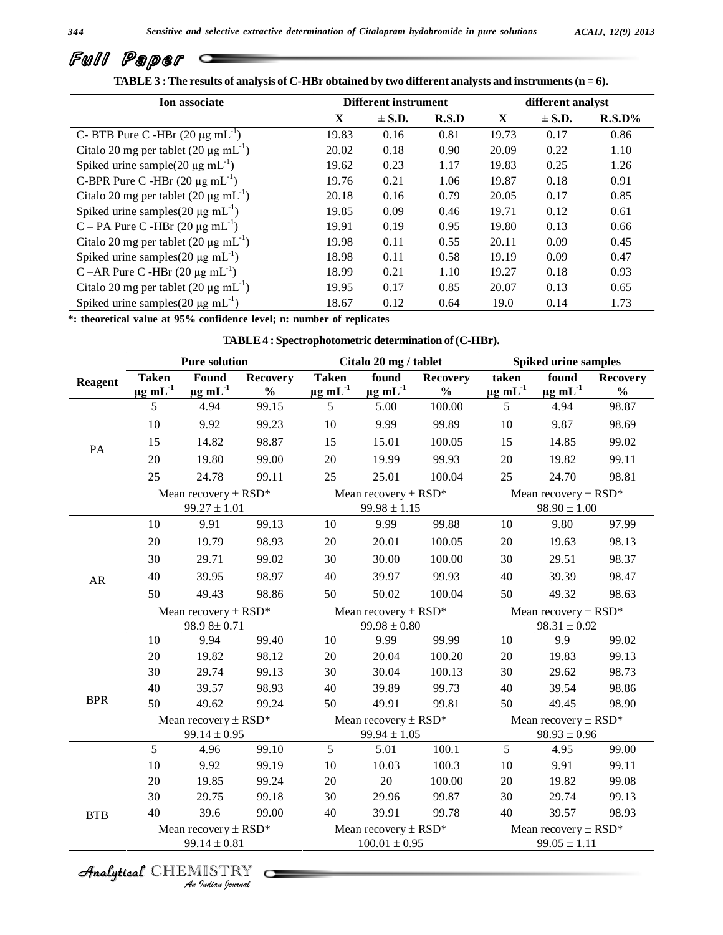| Ion associate                                        | <b>Different instrument</b> |            |       | different analyst |            |           |
|------------------------------------------------------|-----------------------------|------------|-------|-------------------|------------|-----------|
|                                                      | X                           | $\pm$ S.D. | R.S.D | $\mathbf{X}$      | $\pm$ S.D. | $R.S.D\%$ |
| C- BTB Pure C -HBr $(20 \mu g \text{ mL}^{-1})$      | 19.83                       | 0.16       | 0.81  | 19.73             | 0.17       | 0.86      |
| Citalo 20 mg per tablet $(20 \mu g \text{ mL}^{-1})$ | 20.02                       | 0.18       | 0.90  | 20.09             | 0.22       | 1.10      |
| Spiked urine sample(20 $\mu$ g mL <sup>-1</sup> )    | 19.62                       | 0.23       | 1.17  | 19.83             | 0.25       | 1.26      |
| C-BPR Pure C -HBr $(20 \mu g \text{ mL}^{-1})$       | 19.76                       | 0.21       | 1.06  | 19.87             | 0.18       | 0.91      |
| Citalo 20 mg per tablet $(20 \mu g \text{ mL}^{-1})$ | 20.18                       | 0.16       | 0.79  | 20.05             | 0.17       | 0.85      |
| Spiked urine samples $(20 \mu g \text{ mL}^{-1})$    | 19.85                       | 0.09       | 0.46  | 19.71             | 0.12       | 0.61      |
| C – PA Pure C -HBr $(20 \mu g \text{ mL}^{-1})$      | 19.91                       | 0.19       | 0.95  | 19.80             | 0.13       | 0.66      |
| Citalo 20 mg per tablet $(20 \mu g \text{ mL}^{-1})$ | 19.98                       | 0.11       | 0.55  | 20.11             | 0.09       | 0.45      |
| Spiked urine samples $(20 \mu g \text{ mL}^{-1})$    | 18.98                       | 0.11       | 0.58  | 19.19             | 0.09       | 0.47      |
| C –AR Pure C -HBr $(20 \mu g \text{ mL}^{-1})$       | 18.99                       | 0.21       | 1.10  | 19.27             | 0.18       | 0.93      |
| Citalo 20 mg per tablet $(20 \mu g \text{ mL}^{-1})$ | 19.95                       | 0.17       | 0.85  | 20.07             | 0.13       | 0.65      |
| Spiked urine samples $(20 \mu g \text{ mL}^{-1})$    | 18.67                       | 0.12       | 0.64  | 19.0              | 0.14       | 1.73      |

# Full Paper Communications **TABLE**  $3$  **:** The results of analysis of C-HBr obtained by two different analysts and instruments (n =  $6$ ).

**\*: theoretical value at 95% confidence level; n: number of replicates**

| TABLE 4 : Spectrophotometric determination of (C-HBr). |  |
|--------------------------------------------------------|--|
|--------------------------------------------------------|--|

|            | <b>Pure solution</b>                                 |                                              |                                              | Citalo 20 mg / tablet                        |                                               |                                                       | <b>Spiked urine samples</b>                  |                             |                                  |  |
|------------|------------------------------------------------------|----------------------------------------------|----------------------------------------------|----------------------------------------------|-----------------------------------------------|-------------------------------------------------------|----------------------------------------------|-----------------------------|----------------------------------|--|
| Reagent    | <b>Taken</b><br>$\mu$ g mL $^{-1}$                   | Found<br>$\mu$ g mL $^{-1}$                  | <b>Recovery</b><br>$\frac{0}{0}$             | <b>Taken</b><br>$\mu$ g m $L^{-1}$           | found<br>$\mu$ g mL $^{-1}$                   | <b>Recovery</b><br>$\mathbf{0}_{\mathbf{0}}^{\prime}$ | taken<br>$\mu$ g mL $^{-1}$                  | found<br>$\mu$ g mL $^{-1}$ | <b>Recovery</b><br>$\frac{1}{2}$ |  |
|            | 5                                                    | 4.94                                         | 99.15                                        | 5                                            | 5.00                                          | 100.00                                                | 5                                            | 4.94                        | 98.87                            |  |
|            | 10                                                   | 9.92                                         | 99.23                                        | $10\,$                                       | 9.99                                          | 99.89                                                 | 10                                           | 9.87                        | 98.69                            |  |
| PA         | 15                                                   | 14.82                                        | 98.87                                        | 15                                           | 15.01                                         | 100.05                                                | 15                                           | 14.85                       | 99.02                            |  |
|            | 20                                                   | 19.80                                        | 99.00                                        | $20\,$                                       | 19.99                                         | 99.93                                                 | 20                                           | 19.82                       | 99.11                            |  |
|            | 25                                                   | 24.78                                        | 99.11                                        | 25                                           | 25.01                                         | 100.04                                                | 25                                           | 24.70                       | 98.81                            |  |
|            |                                                      | Mean recovery $\pm$ RSD*<br>$99.27 \pm 1.01$ |                                              |                                              | Mean recovery $\pm$ RSD*<br>$99.98 \pm 1.15$  |                                                       | Mean recovery $\pm$ RSD*<br>$98.90 \pm 1.00$ |                             |                                  |  |
|            | 10                                                   | 9.91                                         | 99.13                                        | 10                                           | 9.99                                          | 99.88                                                 | 10                                           | 9.80                        | 97.99                            |  |
|            | 20                                                   | 19.79                                        | 98.93                                        | $20\,$                                       | 20.01                                         | 100.05                                                | $20\,$                                       | 19.63                       | 98.13                            |  |
|            | 30                                                   | 29.71                                        | 99.02                                        | 30                                           | 30.00                                         | 100.00                                                | 30                                           | 29.51                       | 98.37                            |  |
| AR         | 40                                                   | 39.95                                        | 98.97                                        | 40                                           | 39.97                                         | 99.93                                                 | 40                                           | 39.39                       | 98.47                            |  |
|            | 50                                                   | 49.43                                        | 98.86                                        | 50                                           | 50.02                                         | 100.04                                                | 50                                           | 49.32                       | 98.63                            |  |
|            | Mean recovery $\pm$ RSD <sup>*</sup><br>98.9 8± 0.71 |                                              |                                              | Mean recovery $\pm$ RSD*<br>$99.98 \pm 0.80$ |                                               |                                                       | Mean recovery $\pm$ RSD*<br>$98.31 \pm 0.92$ |                             |                                  |  |
|            | $10\,$                                               | 9.94                                         | 99.40                                        | $10\,$                                       | 9.99                                          | 99.99                                                 | $10\,$                                       | 9.9                         | 99.02                            |  |
|            | $20\,$                                               | 19.82                                        | 98.12                                        | $20\,$                                       | 20.04                                         | 100.20                                                | $20\,$                                       | 19.83                       | 99.13                            |  |
|            | 30                                                   | 29.74                                        | 99.13                                        | 30                                           | 30.04                                         | 100.13                                                | 30                                           | 29.62                       | 98.73                            |  |
|            | 40                                                   | 39.57                                        | 98.93                                        | 40                                           | 39.89                                         | 99.73                                                 | 40                                           | 39.54                       | 98.86                            |  |
| <b>BPR</b> | 50                                                   | 49.62                                        | 99.24                                        | 50                                           | 49.91                                         | 99.81                                                 | 50                                           | 49.45                       | 98.90                            |  |
|            | Mean recovery $\pm$ RSD*<br>$99.14 \pm 0.95$         |                                              | Mean recovery $\pm$ RSD*<br>$99.94 \pm 1.05$ |                                              |                                               | Mean recovery $\pm$ RSD*<br>$98.93\pm0.96$            |                                              |                             |                                  |  |
|            | 5                                                    | 4.96                                         | 99.10                                        | 5                                            | 5.01                                          | 100.1                                                 | 5                                            | 4.95                        | 99.00                            |  |
|            | 10                                                   | 9.92                                         | 99.19                                        | $10\,$                                       | 10.03                                         | 100.3                                                 | $10\,$                                       | 9.91                        | 99.11                            |  |
|            | $20\,$                                               | 19.85                                        | 99.24                                        | $20\,$                                       | $20\,$                                        | 100.00                                                | $20\,$                                       | 19.82                       | 99.08                            |  |
|            | 30                                                   | 29.75                                        | 99.18                                        | 30                                           | 29.96                                         | 99.87                                                 | 30                                           | 29.74                       | 99.13                            |  |
| <b>BTB</b> | 40                                                   | 39.6                                         | 99.00                                        | 40                                           | 39.91                                         | 99.78                                                 | 40                                           | 39.57                       | 98.93                            |  |
|            |                                                      | Mean recovery $\pm$ RSD*<br>$99.14 \pm 0.81$ |                                              |                                              | Mean recovery $\pm$ RSD*<br>$100.01 \pm 0.95$ |                                                       | Mean recovery $\pm$ RSD*<br>$99.05 \pm 1.11$ |                             |                                  |  |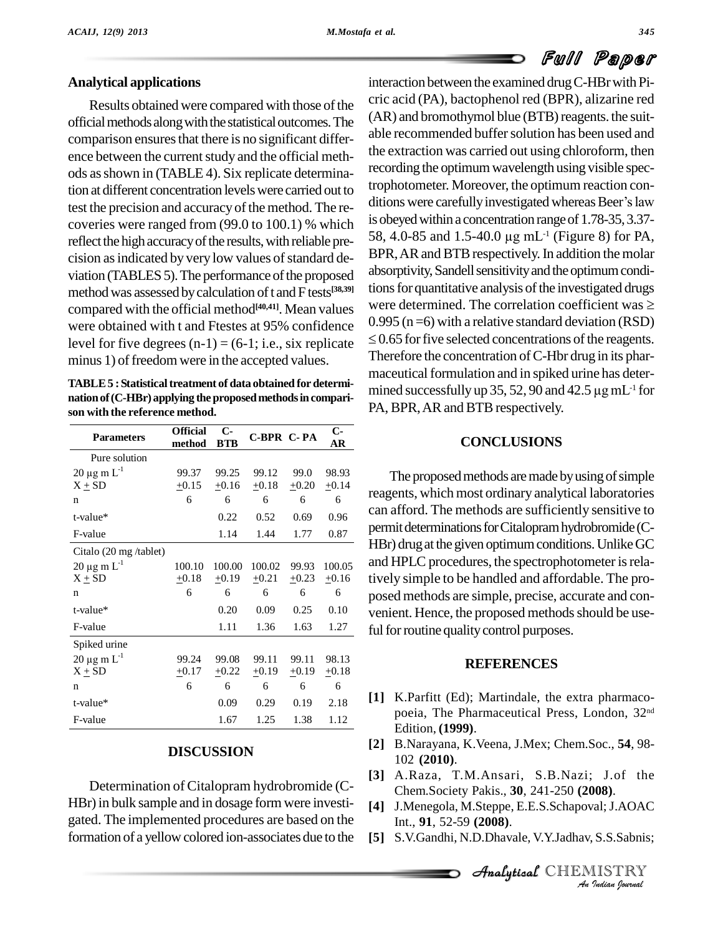### **Analytical applications**

Results obtained were compared with those of the official methods along with the statistical outcomes. The comparison ensures that there is no significant difference between the current study and the official methods asshown in (TABLE 4). Six replicate determination at different concentration levelswere carried out to test the precision and accuracy of the method. The recoveries were ranged from (99.0 to 100.1) % which reflect the high accuracy of the results, with reliable precision as indicated by very low values of standard deviation (TABLES 5). The performance of the proposed method was assessed by calculation of t and F tests<sup>[38,39]</sup> U compared with the official method **[40,41]**. Mean values were obtained with t and Ftestes at 95% confidence level for five degrees  $(n-1) = (6-1; i.e., six replicate)$ minus 1) of freedom were in the accepted values.

**TABLE5 :Statisticaltreatment of data obtained fordetermi nationof(C-HBr) applying theproposedmethodsincompari son with the reference method.**

| <b>Parameters</b>         | <b>Official</b><br>method | $C-$<br><b>BTB</b> | <b>C-BPR C-PA</b> |         | $C-$<br>AR |
|---------------------------|---------------------------|--------------------|-------------------|---------|------------|
| Pure solution             |                           |                    |                   |         |            |
| $20 \mu g$ m $L^{-1}$     | 99.37                     | 99.25              | 99.12             | 99.0    | 98.93      |
| $X + SD$                  | $+0.15$                   | $+0.16$            | $+0.18$           | $+0.20$ | $+0.14$    |
| n                         | 6                         | 6                  | 6                 | 6       | 6          |
| t-value*                  |                           | 0.22               | 0.52              | 0.69    | 0.96       |
| F-value                   |                           | 1.14               | 1.44              | 1.77    | 0.87       |
| Citalo (20 mg /tablet)    |                           |                    |                   |         |            |
| $20 \mu g \, m \, L^{-1}$ | 100.10                    | 100.00             | 100.02            | 99.93   | 100.05     |
| $X + SD$                  | $+0.18$                   | $+0.19$            | $+0.21$           | $+0.23$ | $+0.16$    |
| n                         | 6                         | 6                  | 6                 | 6       | 6          |
| $t$ -value*               |                           | 0.20               | 0.09              | 0.25    | 0.10       |
| F-value                   |                           | 1.11               | 1.36              | 1.63    | 1.27       |
| Spiked urine              |                           |                    |                   |         |            |
| $20 \mu g \, m \, L^{-1}$ | 99.24                     | 99.08              | 99.11             | 99.11   | 98.13      |
| $X + SD$                  | $+0.17$                   | $+0.22$            | $\pm 0.19$        | $+0.19$ | $+0.18$    |
| n                         | 6                         | 6                  | 6                 | 6       | 6          |
| t-value*                  |                           | 0.09               | 0.29              | 0.19    | 2.18       |
| F-value                   |                           | 1.67               | 1.25              | 1.38    | 1.12       |

### **DISCUSSION**

Determination of Citalopram hydrobromide (C- HBr) in bulk sample and in dosage form were investigated. The implemented procedures are based on the formation of a yellow colored ion-associates due to the

interaction between the examined drugC-HBrwith Pi cric acid (PA), bactophenol red (BPR), alizarine red  $(AR)$  and bromothymol blue  $(BTB)$  reagents. the suitable recommended buffer solution has been used and the extraction was carried out using chloroform, then recording the optimum wavelength using visible spec-<br>trophotometer. Moreover, the optimum reaction con-<br>ditions were carefully investigated whereas Beer's law trophotometer. Moreover, the optimum reaction con is obeyed within a concentration range of 1.78-35, 3.37ditions were carefully investigated whereas Beer's law 58, 4.0-85 and 1.5-40.0 µg mL<sup>-1</sup> (Figure 8) for PA, BPR, AR and BTB respectively. In addition the molar absorptivity, Sandell sensitivity and the optimum conditions for quantitative analysis of the investigated drugs absorptivity, Sandell sensitivity and the optimum conditions for quantitative analysis of the investigated drugs<br>were determined. The correlation coefficient was  $\geq$  $0.995$  (n = 6) with a relative standard deviation (RSD) were determined. The correlation coefficient was  $\geq$  $\leq$  0.65 for five selected concentrations of the reagents. Therefore the concentration of C-Hbr drug in its phar-<br>maceutical formulation and in spiked urine has deter-<br>mined successfully up 35, 52, 90 and 42.5  $\mu$ gmL<sup>-1</sup> for maceutical formulation and in spiked urine has determined successfully up 35, 52, 90 and 42.5  $\mu$ g mL<sup>-1</sup> for PA, BPR, AR and BTB respectively.

### **CONCLUSIONS**

 $^{+0.14}_{-6}$  reagents, which most ordinary analytical laboratories 100.05 and HPLC procedures, the spectrophotometer is rela- $\pm$ 0.16 tively simple to be handled and affordable. The pro-The proposed methods are made by using of simple can afford. The methods are sufficiently sensitive to permit determinations for Citalopram hydrobromide (C-HBr) drug at the given optimum conditions. Unlike GC posed methods are simple, precise, accurate and con venient. Hence, the proposed methods should be useful for routine quality control purposes.

### **REFERENCES**

- **[1]** K.Parfitt (Ed); Martindale, the extra pharmaco poeia, The Pharmaceutical Press, London, 32 nd Edition, **(1999)**.
- **[2]** B.Narayana, K.Veena, J.Mex; Chem.Soc., **54**, 98- 102 **(2010)**.
- *An*AnalyticalChem.Society Pakis., **30**, 241-250 **(2008)**. **[3]** A.Raza, T.M.Ansari, S.B.Nazi; J.of the
- **IO8)**.<br>*I*s.S.Sabnis;<br>IISTRY<br>*Indian hournal* **[4]** J.Menegola, M.Steppe, E.E.S.Schapoval;J.AOAC Int., **91**, 52-59 **(2008)**.
- **[5]** S.V.Gandhi, N.D.Dhavale, V.Y.Jadhav, S.S.Sabnis;

**Analytical** CHEMISTRY